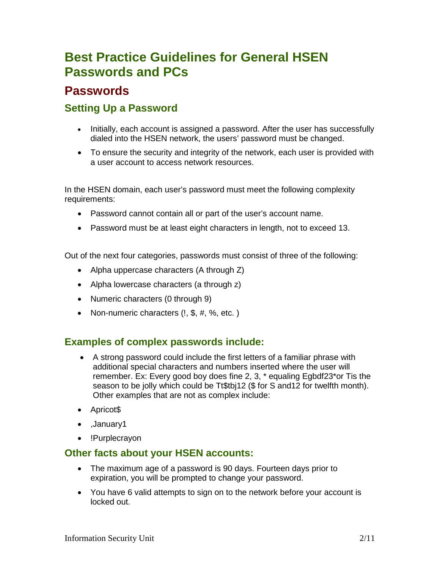# **Best Practice Guidelines for General HSEN Passwords and PCs**

# **Passwords**

## **Setting Up a Password**

- Initially, each account is assigned a password. After the user has successfully dialed into the HSEN network, the users' password must be changed.
- To ensure the security and integrity of the network, each user is provided with a user account to access network resources.

In the HSEN domain, each user's password must meet the following complexity requirements:

- Password cannot contain all or part of the user's account name.
- Password must be at least eight characters in length, not to exceed 13.

Out of the next four categories, passwords must consist of three of the following:

- Alpha uppercase characters (A through Z)
- Alpha lowercase characters (a through z)
- Numeric characters (0 through 9)
- Non-numeric characters (!, \$, #, %, etc.)

### **Examples of complex passwords include:**

- A strong password could include the first letters of a familiar phrase with additional special characters and numbers inserted where the user will remember. Ex: Every good boy does fine 2, 3, \* equaling Egbdf23\*or Tis the season to be jolly which could be Tt\$tbj12 (\$ for S and12 for twelfth month). Other examples that are not as complex include:
- Apricot\$
- ,January1
- !Purplecrayon

### **Other facts about your HSEN accounts:**

- The maximum age of a password is 90 days. Fourteen days prior to expiration, you will be prompted to change your password.
- You have 6 valid attempts to sign on to the network before your account is locked out.